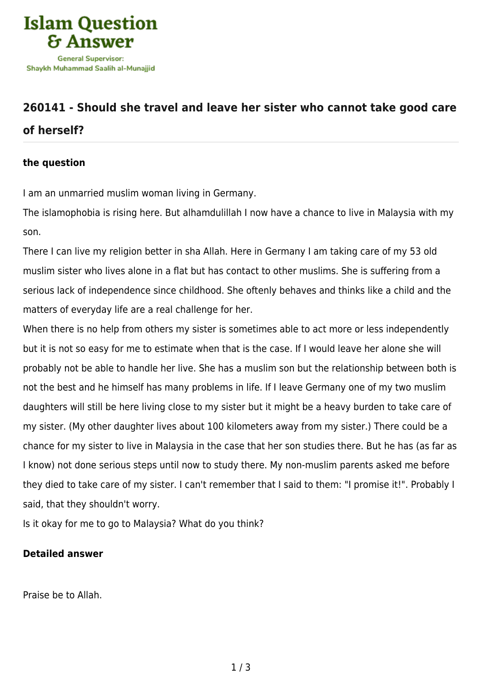

## **[260141 - Should she travel and leave her sister who cannot take good care](https://islamqa.com/en/answers/260141/should-she-travel-and-leave-her-sister-who-cannot-take-good-care-of-herself) [of herself?](https://islamqa.com/en/answers/260141/should-she-travel-and-leave-her-sister-who-cannot-take-good-care-of-herself)**

## **the question**

I am an unmarried muslim woman living in Germany.

The islamophobia is rising here. But alhamdulillah I now have a chance to live in Malaysia with my son.

There I can live my religion better in sha Allah. Here in Germany I am taking care of my 53 old muslim sister who lives alone in a flat but has contact to other muslims. She is suffering from a serious lack of independence since childhood. She oftenly behaves and thinks like a child and the matters of everyday life are a real challenge for her.

When there is no help from others my sister is sometimes able to act more or less independently but it is not so easy for me to estimate when that is the case. If I would leave her alone she will probably not be able to handle her live. She has a muslim son but the relationship between both is not the best and he himself has many problems in life. If I leave Germany one of my two muslim daughters will still be here living close to my sister but it might be a heavy burden to take care of my sister. (My other daughter lives about 100 kilometers away from my sister.) There could be a chance for my sister to live in Malaysia in the case that her son studies there. But he has (as far as I know) not done serious steps until now to study there. My non-muslim parents asked me before they died to take care of my sister. I can't remember that I said to them: "I promise it!". Probably I said, that they shouldn't worry.

Is it okay for me to go to Malaysia? What do you think?

## **Detailed answer**

Praise be to Allah.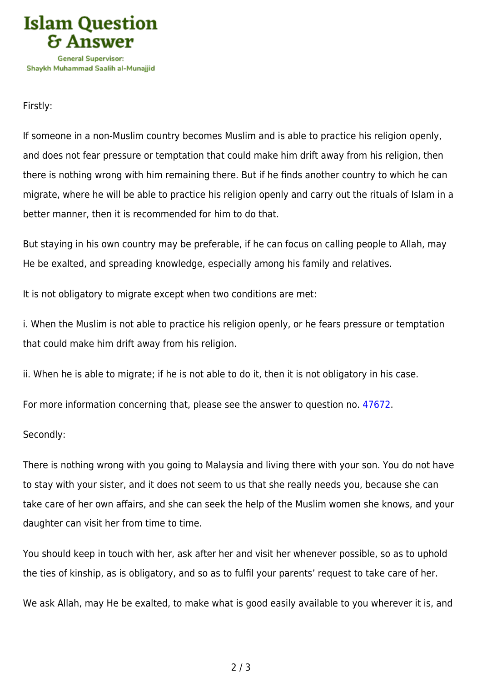

Firstly:

If someone in a non-Muslim country becomes Muslim and is able to practice his religion openly, and does not fear pressure or temptation that could make him drift away from his religion, then there is nothing wrong with him remaining there. But if he finds another country to which he can migrate, where he will be able to practice his religion openly and carry out the rituals of Islam in a better manner, then it is recommended for him to do that.

But staying in his own country may be preferable, if he can focus on calling people to Allah, may He be exalted, and spreading knowledge, especially among his family and relatives.

It is not obligatory to migrate except when two conditions are met:

i. When the Muslim is not able to practice his religion openly, or he fears pressure or temptation that could make him drift away from his religion.

ii. When he is able to migrate; if he is not able to do it, then it is not obligatory in his case.

For more information concerning that, please see the answer to question no. [47672](https://islamqa.com/en/answers/47672).

Secondly:

There is nothing wrong with you going to Malaysia and living there with your son. You do not have to stay with your sister, and it does not seem to us that she really needs you, because she can take care of her own affairs, and she can seek the help of the Muslim women she knows, and your daughter can visit her from time to time.

You should keep in touch with her, ask after her and visit her whenever possible, so as to uphold the ties of kinship, as is obligatory, and so as to fulfil your parents' request to take care of her.

We ask Allah, may He be exalted, to make what is good easily available to you wherever it is, and